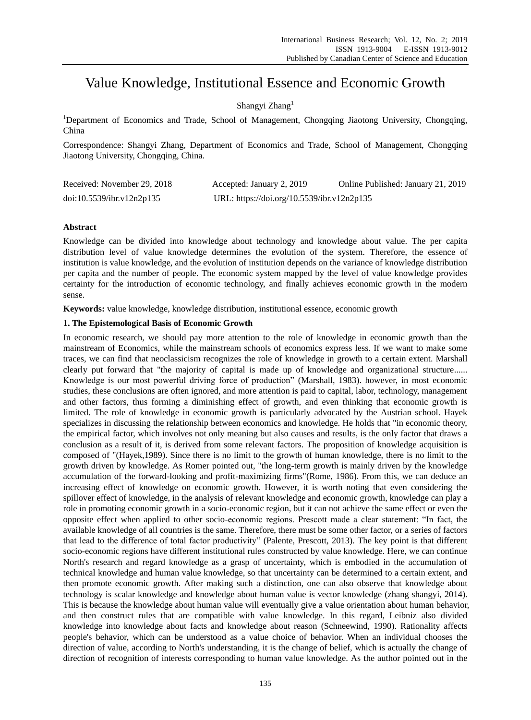# Value Knowledge, Institutional Essence and Economic Growth

## Shangyi Zhang<sup>1</sup>

<sup>1</sup>Department of Economics and Trade, School of Management, Chongqing Jiaotong University, Chongqing, China

Correspondence: Shangyi Zhang, Department of Economics and Trade, School of Management, Chongqing Jiaotong University, Chongqing, China.

| Received: November 29, 2018 | Accepted: January 2, 2019                  | Online Published: January 21, 2019 |
|-----------------------------|--------------------------------------------|------------------------------------|
| doi:10.5539/ibr.v12n2p135   | URL: https://doi.org/10.5539/ibr.v12n2p135 |                                    |

## **Abstract**

Knowledge can be divided into knowledge about technology and knowledge about value. The per capita distribution level of value knowledge determines the evolution of the system. Therefore, the essence of institution is value knowledge, and the evolution of institution depends on the variance of knowledge distribution per capita and the number of people. The economic system mapped by the level of value knowledge provides certainty for the introduction of economic technology, and finally achieves economic growth in the modern sense.

**Keywords:** value knowledge, knowledge distribution, institutional essence, economic growth

## **1. The Epistemological Basis of Economic Growth**

In economic research, we should pay more attention to the role of knowledge in economic growth than the mainstream of Economics, while the mainstream schools of economics express less. If we want to make some traces, we can find that neoclassicism recognizes the role of knowledge in growth to a certain extent. Marshall clearly put forward that "the majority of capital is made up of knowledge and organizational structure...... Knowledge is our most powerful driving force of production" (Marshall, 1983). however, in most economic studies, these conclusions are often ignored, and more attention is paid to capital, labor, technology, management and other factors, thus forming a diminishing effect of growth, and even thinking that economic growth is limited. The role of knowledge in economic growth is particularly advocated by the Austrian school. Hayek specializes in discussing the relationship between economics and knowledge. He holds that "in economic theory, the empirical factor, which involves not only meaning but also causes and results, is the only factor that draws a conclusion as a result of it, is derived from some relevant factors. The proposition of knowledge acquisition is composed of "(Hayek,1989). Since there is no limit to the growth of human knowledge, there is no limit to the growth driven by knowledge. As Romer pointed out, "the long-term growth is mainly driven by the knowledge accumulation of the forward-looking and profit-maximizing firms"(Rome, 1986). From this, we can deduce an increasing effect of knowledge on economic growth. However, it is worth noting that even considering the spillover effect of knowledge, in the analysis of relevant knowledge and economic growth, knowledge can play a role in promoting economic growth in a socio-economic region, but it can not achieve the same effect or even the opposite effect when applied to other socio-economic regions. Prescott made a clear statement: "In fact, the available knowledge of all countries is the same. Therefore, there must be some other factor, or a series of factors that lead to the difference of total factor productivity" (Palente, Prescott, 2013). The key point is that different socio-economic regions have different institutional rules constructed by value knowledge. Here, we can continue North's research and regard knowledge as a grasp of uncertainty, which is embodied in the accumulation of technical knowledge and human value knowledge, so that uncertainty can be determined to a certain extent, and then promote economic growth. After making such a distinction, one can also observe that knowledge about technology is scalar knowledge and knowledge about human value is vector knowledge (zhang shangyi, 2014). This is because the knowledge about human value will eventually give a value orientation about human behavior, and then construct rules that are compatible with value knowledge. In this regard, Leibniz also divided knowledge into knowledge about facts and knowledge about reason (Schneewind, 1990). Rationality affects people's behavior, which can be understood as a value choice of behavior. When an individual chooses the direction of value, according to North's understanding, it is the change of belief, which is actually the change of direction of recognition of interests corresponding to human value knowledge. As the author pointed out in the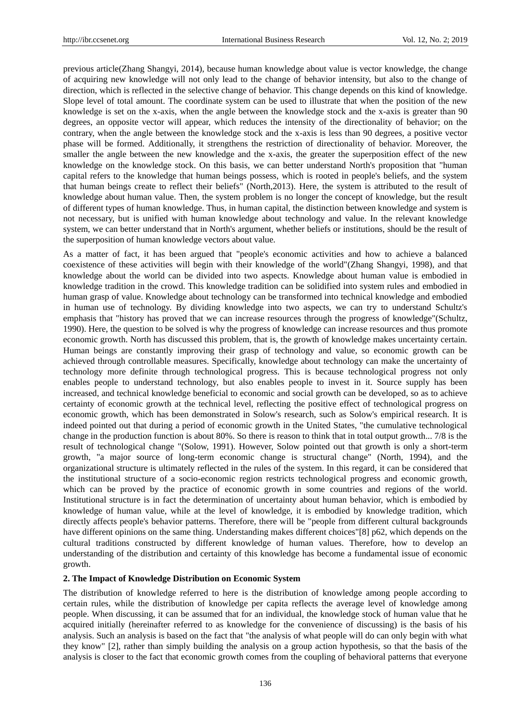previous article(Zhang Shangyi, 2014), because human knowledge about value is vector knowledge, the change of acquiring new knowledge will not only lead to the change of behavior intensity, but also to the change of direction, which is reflected in the selective change of behavior. This change depends on this kind of knowledge. Slope level of total amount. The coordinate system can be used to illustrate that when the position of the new knowledge is set on the x-axis, when the angle between the knowledge stock and the x-axis is greater than 90 degrees, an opposite vector will appear, which reduces the intensity of the directionality of behavior; on the contrary, when the angle between the knowledge stock and the x-axis is less than 90 degrees, a positive vector phase will be formed. Additionally, it strengthens the restriction of directionality of behavior. Moreover, the smaller the angle between the new knowledge and the x-axis, the greater the superposition effect of the new knowledge on the knowledge stock. On this basis, we can better understand North's proposition that "human capital refers to the knowledge that human beings possess, which is rooted in people's beliefs, and the system that human beings create to reflect their beliefs" (North,2013). Here, the system is attributed to the result of knowledge about human value. Then, the system problem is no longer the concept of knowledge, but the result of different types of human knowledge. Thus, in human capital, the distinction between knowledge and system is not necessary, but is unified with human knowledge about technology and value. In the relevant knowledge system, we can better understand that in North's argument, whether beliefs or institutions, should be the result of the superposition of human knowledge vectors about value.

As a matter of fact, it has been argued that "people's economic activities and how to achieve a balanced coexistence of these activities will begin with their knowledge of the world"(Zhang Shangyi, 1998), and that knowledge about the world can be divided into two aspects. Knowledge about human value is embodied in knowledge tradition in the crowd. This knowledge tradition can be solidified into system rules and embodied in human grasp of value. Knowledge about technology can be transformed into technical knowledge and embodied in human use of technology. By dividing knowledge into two aspects, we can try to understand Schultz's emphasis that "history has proved that we can increase resources through the progress of knowledge"(Schultz, 1990). Here, the question to be solved is why the progress of knowledge can increase resources and thus promote economic growth. North has discussed this problem, that is, the growth of knowledge makes uncertainty certain. Human beings are constantly improving their grasp of technology and value, so economic growth can be achieved through controllable measures. Specifically, knowledge about technology can make the uncertainty of technology more definite through technological progress. This is because technological progress not only enables people to understand technology, but also enables people to invest in it. Source supply has been increased, and technical knowledge beneficial to economic and social growth can be developed, so as to achieve certainty of economic growth at the technical level, reflecting the positive effect of technological progress on economic growth, which has been demonstrated in Solow's research, such as Solow's empirical research. It is indeed pointed out that during a period of economic growth in the United States, "the cumulative technological change in the production function is about 80%. So there is reason to think that in total output growth... 7/8 is the result of technological change "(Solow, 1991). However, Solow pointed out that growth is only a short-term growth, "a major source of long-term economic change is structural change" (North, 1994), and the organizational structure is ultimately reflected in the rules of the system. In this regard, it can be considered that the institutional structure of a socio-economic region restricts technological progress and economic growth, which can be proved by the practice of economic growth in some countries and regions of the world. Institutional structure is in fact the determination of uncertainty about human behavior, which is embodied by knowledge of human value, while at the level of knowledge, it is embodied by knowledge tradition, which directly affects people's behavior patterns. Therefore, there will be "people from different cultural backgrounds have different opinions on the same thing. Understanding makes different choices"[8] p62, which depends on the cultural traditions constructed by different knowledge of human values. Therefore, how to develop an understanding of the distribution and certainty of this knowledge has become a fundamental issue of economic growth.

#### **2. The Impact of Knowledge Distribution on Economic System**

The distribution of knowledge referred to here is the distribution of knowledge among people according to certain rules, while the distribution of knowledge per capita reflects the average level of knowledge among people. When discussing, it can be assumed that for an individual, the knowledge stock of human value that he acquired initially (hereinafter referred to as knowledge for the convenience of discussing) is the basis of his analysis. Such an analysis is based on the fact that "the analysis of what people will do can only begin with what they know" [2], rather than simply building the analysis on a group action hypothesis, so that the basis of the analysis is closer to the fact that economic growth comes from the coupling of behavioral patterns that everyone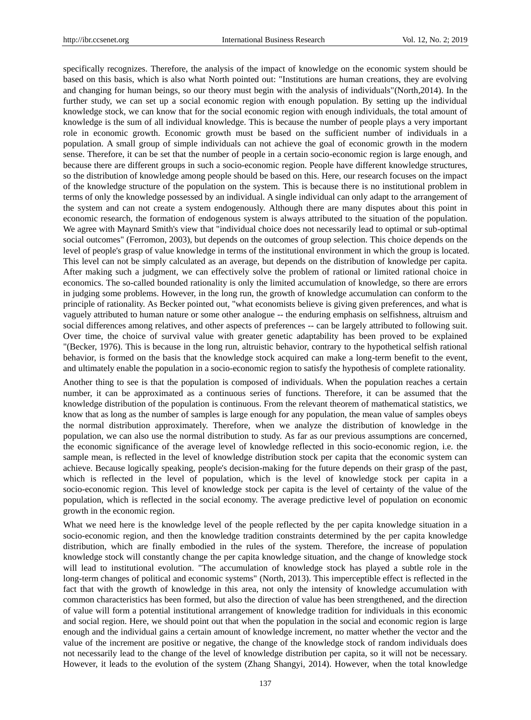specifically recognizes. Therefore, the analysis of the impact of knowledge on the economic system should be based on this basis, which is also what North pointed out: "Institutions are human creations, they are evolving and changing for human beings, so our theory must begin with the analysis of individuals"(North,2014). In the further study, we can set up a social economic region with enough population. By setting up the individual knowledge stock, we can know that for the social economic region with enough individuals, the total amount of knowledge is the sum of all individual knowledge. This is because the number of people plays a very important role in economic growth. Economic growth must be based on the sufficient number of individuals in a population. A small group of simple individuals can not achieve the goal of economic growth in the modern sense. Therefore, it can be set that the number of people in a certain socio-economic region is large enough, and because there are different groups in such a socio-economic region. People have different knowledge structures, so the distribution of knowledge among people should be based on this. Here, our research focuses on the impact of the knowledge structure of the population on the system. This is because there is no institutional problem in terms of only the knowledge possessed by an individual. A single individual can only adapt to the arrangement of the system and can not create a system endogenously. Although there are many disputes about this point in economic research, the formation of endogenous system is always attributed to the situation of the population. We agree with Maynard Smith's view that "individual choice does not necessarily lead to optimal or sub-optimal social outcomes" (Ferromon, 2003), but depends on the outcomes of group selection. This choice depends on the level of people's grasp of value knowledge in terms of the institutional environment in which the group is located. This level can not be simply calculated as an average, but depends on the distribution of knowledge per capita. After making such a judgment, we can effectively solve the problem of rational or limited rational choice in economics. The so-called bounded rationality is only the limited accumulation of knowledge, so there are errors in judging some problems. However, in the long run, the growth of knowledge accumulation can conform to the principle of rationality. As Becker pointed out, "what economists believe is giving given preferences, and what is vaguely attributed to human nature or some other analogue -- the enduring emphasis on selfishness, altruism and social differences among relatives, and other aspects of preferences -- can be largely attributed to following suit. Over time, the choice of survival value with greater genetic adaptability has been proved to be explained "(Becker, 1976). This is because in the long run, altruistic behavior, contrary to the hypothetical selfish rational behavior, is formed on the basis that the knowledge stock acquired can make a long-term benefit to the event, and ultimately enable the population in a socio-economic region to satisfy the hypothesis of complete rationality.

Another thing to see is that the population is composed of individuals. When the population reaches a certain number, it can be approximated as a continuous series of functions. Therefore, it can be assumed that the knowledge distribution of the population is continuous. From the relevant theorem of mathematical statistics, we know that as long as the number of samples is large enough for any population, the mean value of samples obeys the normal distribution approximately. Therefore, when we analyze the distribution of knowledge in the population, we can also use the normal distribution to study. As far as our previous assumptions are concerned, the economic significance of the average level of knowledge reflected in this socio-economic region, i.e. the sample mean, is reflected in the level of knowledge distribution stock per capita that the economic system can achieve. Because logically speaking, people's decision-making for the future depends on their grasp of the past, which is reflected in the level of population, which is the level of knowledge stock per capita in a socio-economic region. This level of knowledge stock per capita is the level of certainty of the value of the population, which is reflected in the social economy. The average predictive level of population on economic growth in the economic region.

What we need here is the knowledge level of the people reflected by the per capita knowledge situation in a socio-economic region, and then the knowledge tradition constraints determined by the per capita knowledge distribution, which are finally embodied in the rules of the system. Therefore, the increase of population knowledge stock will constantly change the per capita knowledge situation, and the change of knowledge stock will lead to institutional evolution. "The accumulation of knowledge stock has played a subtle role in the long-term changes of political and economic systems" (North, 2013). This imperceptible effect is reflected in the fact that with the growth of knowledge in this area, not only the intensity of knowledge accumulation with common characteristics has been formed, but also the direction of value has been strengthened, and the direction of value will form a potential institutional arrangement of knowledge tradition for individuals in this economic and social region. Here, we should point out that when the population in the social and economic region is large enough and the individual gains a certain amount of knowledge increment, no matter whether the vector and the value of the increment are positive or negative, the change of the knowledge stock of random individuals does not necessarily lead to the change of the level of knowledge distribution per capita, so it will not be necessary. However, it leads to the evolution of the system (Zhang Shangyi, 2014). However, when the total knowledge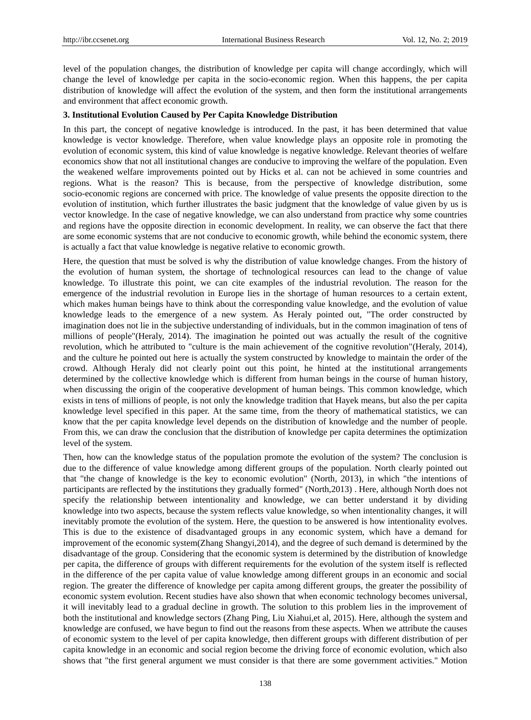level of the population changes, the distribution of knowledge per capita will change accordingly, which will change the level of knowledge per capita in the socio-economic region. When this happens, the per capita distribution of knowledge will affect the evolution of the system, and then form the institutional arrangements and environment that affect economic growth.

#### **3. Institutional Evolution Caused by Per Capita Knowledge Distribution**

In this part, the concept of negative knowledge is introduced. In the past, it has been determined that value knowledge is vector knowledge. Therefore, when value knowledge plays an opposite role in promoting the evolution of economic system, this kind of value knowledge is negative knowledge. Relevant theories of welfare economics show that not all institutional changes are conducive to improving the welfare of the population. Even the weakened welfare improvements pointed out by Hicks et al. can not be achieved in some countries and regions. What is the reason? This is because, from the perspective of knowledge distribution, some socio-economic regions are concerned with price. The knowledge of value presents the opposite direction to the evolution of institution, which further illustrates the basic judgment that the knowledge of value given by us is vector knowledge. In the case of negative knowledge, we can also understand from practice why some countries and regions have the opposite direction in economic development. In reality, we can observe the fact that there are some economic systems that are not conducive to economic growth, while behind the economic system, there is actually a fact that value knowledge is negative relative to economic growth.

Here, the question that must be solved is why the distribution of value knowledge changes. From the history of the evolution of human system, the shortage of technological resources can lead to the change of value knowledge. To illustrate this point, we can cite examples of the industrial revolution. The reason for the emergence of the industrial revolution in Europe lies in the shortage of human resources to a certain extent, which makes human beings have to think about the corresponding value knowledge, and the evolution of value knowledge leads to the emergence of a new system. As Heraly pointed out, "The order constructed by imagination does not lie in the subjective understanding of individuals, but in the common imagination of tens of millions of people"(Heraly, 2014). The imagination he pointed out was actually the result of the cognitive revolution, which he attributed to "culture is the main achievement of the cognitive revolution"(Heraly, 2014), and the culture he pointed out here is actually the system constructed by knowledge to maintain the order of the crowd. Although Heraly did not clearly point out this point, he hinted at the institutional arrangements determined by the collective knowledge which is different from human beings in the course of human history, when discussing the origin of the cooperative development of human beings. This common knowledge, which exists in tens of millions of people, is not only the knowledge tradition that Hayek means, but also the per capita knowledge level specified in this paper. At the same time, from the theory of mathematical statistics, we can know that the per capita knowledge level depends on the distribution of knowledge and the number of people. From this, we can draw the conclusion that the distribution of knowledge per capita determines the optimization level of the system.

Then, how can the knowledge status of the population promote the evolution of the system? The conclusion is due to the difference of value knowledge among different groups of the population. North clearly pointed out that "the change of knowledge is the key to economic evolution" (North, 2013), in which "the intentions of participants are reflected by the institutions they gradually formed" (North,2013) . Here, although North does not specify the relationship between intentionality and knowledge, we can better understand it by dividing knowledge into two aspects, because the system reflects value knowledge, so when intentionality changes, it will inevitably promote the evolution of the system. Here, the question to be answered is how intentionality evolves. This is due to the existence of disadvantaged groups in any economic system, which have a demand for improvement of the economic system(Zhang Shangyi,2014), and the degree of such demand is determined by the disadvantage of the group. Considering that the economic system is determined by the distribution of knowledge per capita, the difference of groups with different requirements for the evolution of the system itself is reflected in the difference of the per capita value of value knowledge among different groups in an economic and social region. The greater the difference of knowledge per capita among different groups, the greater the possibility of economic system evolution. Recent studies have also shown that when economic technology becomes universal, it will inevitably lead to a gradual decline in growth. The solution to this problem lies in the improvement of both the institutional and knowledge sectors (Zhang Ping, Liu Xiahui,et al, 2015). Here, although the system and knowledge are confused, we have begun to find out the reasons from these aspects. When we attribute the causes of economic system to the level of per capita knowledge, then different groups with different distribution of per capita knowledge in an economic and social region become the driving force of economic evolution, which also shows that "the first general argument we must consider is that there are some government activities." Motion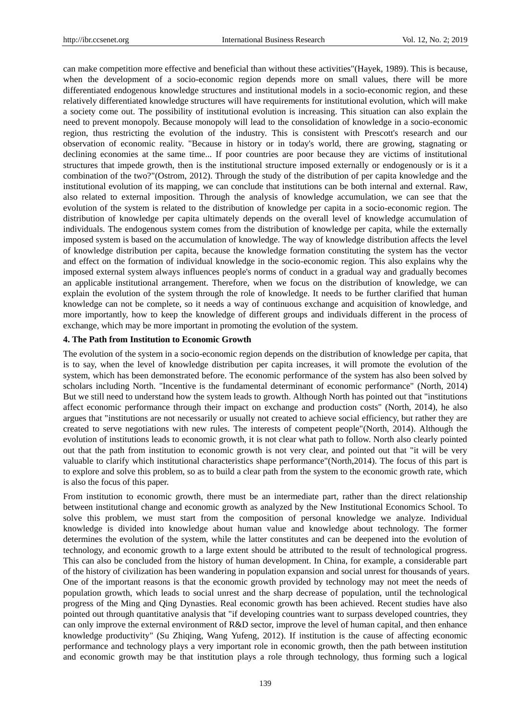can make competition more effective and beneficial than without these activities"(Hayek, 1989). This is because, when the development of a socio-economic region depends more on small values, there will be more differentiated endogenous knowledge structures and institutional models in a socio-economic region, and these relatively differentiated knowledge structures will have requirements for institutional evolution, which will make a society come out. The possibility of institutional evolution is increasing. This situation can also explain the need to prevent monopoly. Because monopoly will lead to the consolidation of knowledge in a socio-economic region, thus restricting the evolution of the industry. This is consistent with Prescott's research and our observation of economic reality. "Because in history or in today's world, there are growing, stagnating or declining economies at the same time... If poor countries are poor because they are victims of institutional structures that impede growth, then is the institutional structure imposed externally or endogenously or is it a combination of the two?"(Ostrom, 2012). Through the study of the distribution of per capita knowledge and the institutional evolution of its mapping, we can conclude that institutions can be both internal and external. Raw, also related to external imposition. Through the analysis of knowledge accumulation, we can see that the evolution of the system is related to the distribution of knowledge per capita in a socio-economic region. The distribution of knowledge per capita ultimately depends on the overall level of knowledge accumulation of individuals. The endogenous system comes from the distribution of knowledge per capita, while the externally imposed system is based on the accumulation of knowledge. The way of knowledge distribution affects the level of knowledge distribution per capita, because the knowledge formation constituting the system has the vector and effect on the formation of individual knowledge in the socio-economic region. This also explains why the imposed external system always influences people's norms of conduct in a gradual way and gradually becomes an applicable institutional arrangement. Therefore, when we focus on the distribution of knowledge, we can explain the evolution of the system through the role of knowledge. It needs to be further clarified that human knowledge can not be complete, so it needs a way of continuous exchange and acquisition of knowledge, and more importantly, how to keep the knowledge of different groups and individuals different in the process of exchange, which may be more important in promoting the evolution of the system.

#### **4. The Path from Institution to Economic Growth**

The evolution of the system in a socio-economic region depends on the distribution of knowledge per capita, that is to say, when the level of knowledge distribution per capita increases, it will promote the evolution of the system, which has been demonstrated before. The economic performance of the system has also been solved by scholars including North. "Incentive is the fundamental determinant of economic performance" (North, 2014) But we still need to understand how the system leads to growth. Although North has pointed out that "institutions affect economic performance through their impact on exchange and production costs" (North, 2014), he also argues that "institutions are not necessarily or usually not created to achieve social efficiency, but rather they are created to serve negotiations with new rules. The interests of competent people"(North, 2014). Although the evolution of institutions leads to economic growth, it is not clear what path to follow. North also clearly pointed out that the path from institution to economic growth is not very clear, and pointed out that "it will be very valuable to clarify which institutional characteristics shape performance"(North,2014). The focus of this part is to explore and solve this problem, so as to build a clear path from the system to the economic growth rate, which is also the focus of this paper.

From institution to economic growth, there must be an intermediate part, rather than the direct relationship between institutional change and economic growth as analyzed by the New Institutional Economics School. To solve this problem, we must start from the composition of personal knowledge we analyze. Individual knowledge is divided into knowledge about human value and knowledge about technology. The former determines the evolution of the system, while the latter constitutes and can be deepened into the evolution of technology, and economic growth to a large extent should be attributed to the result of technological progress. This can also be concluded from the history of human development. In China, for example, a considerable part of the history of civilization has been wandering in population expansion and social unrest for thousands of years. One of the important reasons is that the economic growth provided by technology may not meet the needs of population growth, which leads to social unrest and the sharp decrease of population, until the technological progress of the Ming and Qing Dynasties. Real economic growth has been achieved. Recent studies have also pointed out through quantitative analysis that "if developing countries want to surpass developed countries, they can only improve the external environment of R&D sector, improve the level of human capital, and then enhance knowledge productivity" (Su Zhiqing, Wang Yufeng, 2012). If institution is the cause of affecting economic performance and technology plays a very important role in economic growth, then the path between institution and economic growth may be that institution plays a role through technology, thus forming such a logical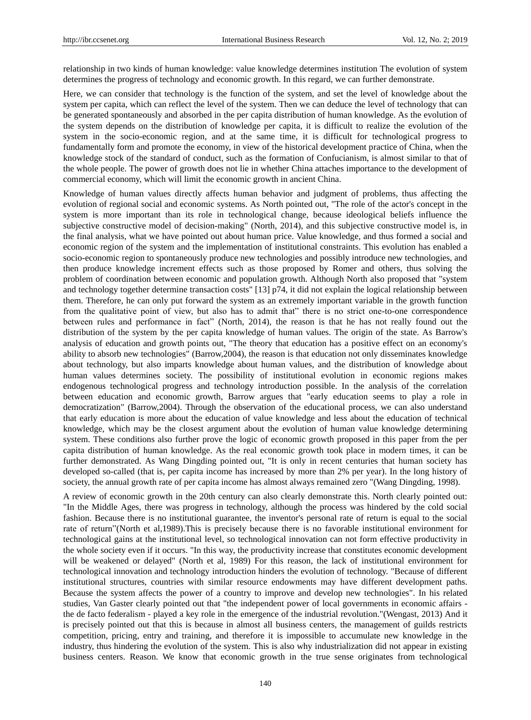relationship in two kinds of human knowledge: value knowledge determines institution The evolution of system determines the progress of technology and economic growth. In this regard, we can further demonstrate.

Here, we can consider that technology is the function of the system, and set the level of knowledge about the system per capita, which can reflect the level of the system. Then we can deduce the level of technology that can be generated spontaneously and absorbed in the per capita distribution of human knowledge. As the evolution of the system depends on the distribution of knowledge per capita, it is difficult to realize the evolution of the system in the socio-economic region, and at the same time, it is difficult for technological progress to fundamentally form and promote the economy, in view of the historical development practice of China, when the knowledge stock of the standard of conduct, such as the formation of Confucianism, is almost similar to that of the whole people. The power of growth does not lie in whether China attaches importance to the development of commercial economy, which will limit the economic growth in ancient China.

Knowledge of human values directly affects human behavior and judgment of problems, thus affecting the evolution of regional social and economic systems. As North pointed out, "The role of the actor's concept in the system is more important than its role in technological change, because ideological beliefs influence the subjective constructive model of decision-making" (North, 2014), and this subjective constructive model is, in the final analysis, what we have pointed out about human price. Value knowledge, and thus formed a social and economic region of the system and the implementation of institutional constraints. This evolution has enabled a socio-economic region to spontaneously produce new technologies and possibly introduce new technologies, and then produce knowledge increment effects such as those proposed by Romer and others, thus solving the problem of coordination between economic and population growth. Although North also proposed that "system and technology together determine transaction costs" [13] p74, it did not explain the logical relationship between them. Therefore, he can only put forward the system as an extremely important variable in the growth function from the qualitative point of view, but also has to admit that" there is no strict one-to-one correspondence between rules and performance in fact" (North, 2014), the reason is that he has not really found out the distribution of the system by the per capita knowledge of human values. The origin of the state. As Barrow's analysis of education and growth points out, "The theory that education has a positive effect on an economy's ability to absorb new technologies" (Barrow,2004), the reason is that education not only disseminates knowledge about technology, but also imparts knowledge about human values, and the distribution of knowledge about human values determines society. The possibility of institutional evolution in economic regions makes endogenous technological progress and technology introduction possible. In the analysis of the correlation between education and economic growth, Barrow argues that "early education seems to play a role in democratization" (Barrow,2004). Through the observation of the educational process, we can also understand that early education is more about the education of value knowledge and less about the education of technical knowledge, which may be the closest argument about the evolution of human value knowledge determining system. These conditions also further prove the logic of economic growth proposed in this paper from the per capita distribution of human knowledge. As the real economic growth took place in modern times, it can be further demonstrated. As Wang Dingding pointed out, "It is only in recent centuries that human society has developed so-called (that is, per capita income has increased by more than 2% per year). In the long history of society, the annual growth rate of per capita income has almost always remained zero "(Wang Dingding, 1998).

A review of economic growth in the 20th century can also clearly demonstrate this. North clearly pointed out: "In the Middle Ages, there was progress in technology, although the process was hindered by the cold social fashion. Because there is no institutional guarantee, the inventor's personal rate of return is equal to the social rate of return"(North et al,1989).This is precisely because there is no favorable institutional environment for technological gains at the institutional level, so technological innovation can not form effective productivity in the whole society even if it occurs. "In this way, the productivity increase that constitutes economic development will be weakened or delayed" (North et al, 1989) For this reason, the lack of institutional environment for technological innovation and technology introduction hinders the evolution of technology. "Because of different institutional structures, countries with similar resource endowments may have different development paths. Because the system affects the power of a country to improve and develop new technologies". In his related studies, Van Gaster clearly pointed out that "the independent power of local governments in economic affairs the de facto federalism - played a key role in the emergence of the industrial revolution."(Wengast, 2013) And it is precisely pointed out that this is because in almost all business centers, the management of guilds restricts competition, pricing, entry and training, and therefore it is impossible to accumulate new knowledge in the industry, thus hindering the evolution of the system. This is also why industrialization did not appear in existing business centers. Reason. We know that economic growth in the true sense originates from technological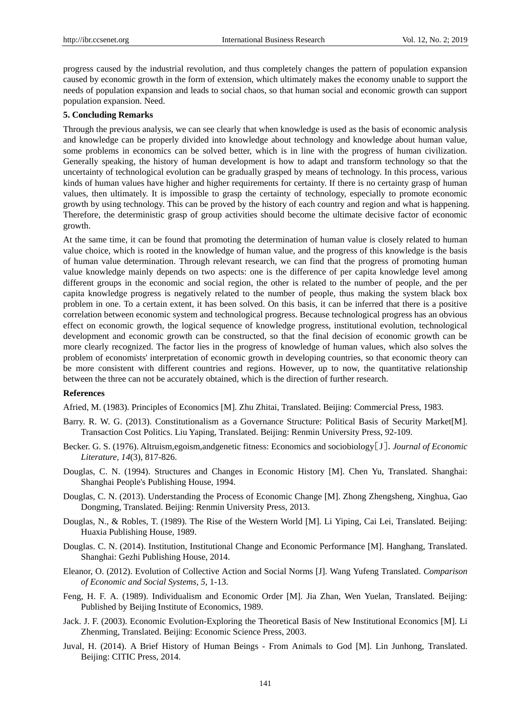progress caused by the industrial revolution, and thus completely changes the pattern of population expansion caused by economic growth in the form of extension, which ultimately makes the economy unable to support the needs of population expansion and leads to social chaos, so that human social and economic growth can support population expansion. Need.

#### **5. Concluding Remarks**

Through the previous analysis, we can see clearly that when knowledge is used as the basis of economic analysis and knowledge can be properly divided into knowledge about technology and knowledge about human value, some problems in economics can be solved better, which is in line with the progress of human civilization. Generally speaking, the history of human development is how to adapt and transform technology so that the uncertainty of technological evolution can be gradually grasped by means of technology. In this process, various kinds of human values have higher and higher requirements for certainty. If there is no certainty grasp of human values, then ultimately. It is impossible to grasp the certainty of technology, especially to promote economic growth by using technology. This can be proved by the history of each country and region and what is happening. Therefore, the deterministic grasp of group activities should become the ultimate decisive factor of economic growth.

At the same time, it can be found that promoting the determination of human value is closely related to human value choice, which is rooted in the knowledge of human value, and the progress of this knowledge is the basis of human value determination. Through relevant research, we can find that the progress of promoting human value knowledge mainly depends on two aspects: one is the difference of per capita knowledge level among different groups in the economic and social region, the other is related to the number of people, and the per capita knowledge progress is negatively related to the number of people, thus making the system black box problem in one. To a certain extent, it has been solved. On this basis, it can be inferred that there is a positive correlation between economic system and technological progress. Because technological progress has an obvious effect on economic growth, the logical sequence of knowledge progress, institutional evolution, technological development and economic growth can be constructed, so that the final decision of economic growth can be more clearly recognized. The factor lies in the progress of knowledge of human values, which also solves the problem of economists' interpretation of economic growth in developing countries, so that economic theory can be more consistent with different countries and regions. However, up to now, the quantitative relationship between the three can not be accurately obtained, which is the direction of further research.

#### **References**

Afried, M. (1983). Principles of Economics [M]. Zhu Zhitai, Translated. Beijing: Commercial Press, 1983.

- Barry. R. W. G. (2013). Constitutionalism as a Governance Structure: Political Basis of Security Market[M]. Transaction Cost Politics. Liu Yaping, Translated. Beijing: Renmin University Press, 92-109.
- Becker. G. S. (1976). Altruism,egoism,andgenetic fitness: Economics and sociobiology[J].*Journal of Economic Literature, 14*(3), 817-826.
- Douglas, C. N. (1994). Structures and Changes in Economic History [M]. Chen Yu, Translated. Shanghai: Shanghai People's Publishing House, 1994.
- Douglas, C. N. (2013). Understanding the Process of Economic Change [M]. Zhong Zhengsheng, Xinghua, Gao Dongming, Translated. Beijing: Renmin University Press, 2013.
- Douglas, N., & Robles, T. (1989). The Rise of the Western World [M]. Li Yiping, Cai Lei, Translated. Beijing: Huaxia Publishing House, 1989.
- Douglas. C. N. (2014). Institution, Institutional Change and Economic Performance [M]. Hanghang, Translated. Shanghai: Gezhi Publishing House, 2014.
- Eleanor, O. (2012). Evolution of Collective Action and Social Norms [J]. Wang Yufeng Translated. *Comparison of Economic and Social Systems, 5,* 1-13.
- Feng, H. F. A. (1989). Individualism and Economic Order [M]. Jia Zhan, Wen Yuelan, Translated. Beijing: Published by Beijing Institute of Economics, 1989.
- Jack. J. F. (2003). Economic Evolution-Exploring the Theoretical Basis of New Institutional Economics [M]. Li Zhenming, Translated. Beijing: Economic Science Press, 2003.
- Juval, H. (2014). A Brief History of Human Beings From Animals to God [M]. Lin Junhong, Translated. Beijing: CITIC Press, 2014.